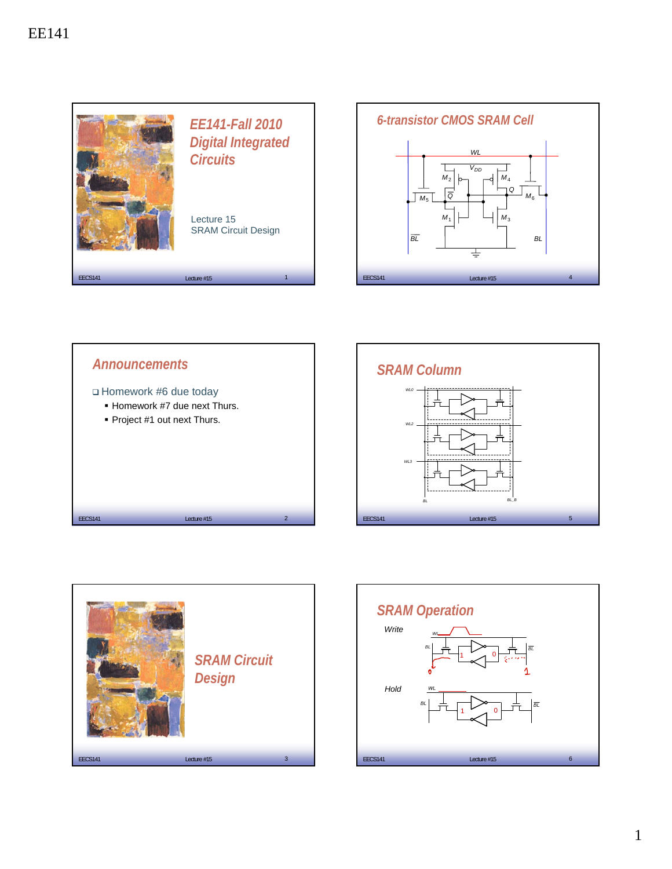







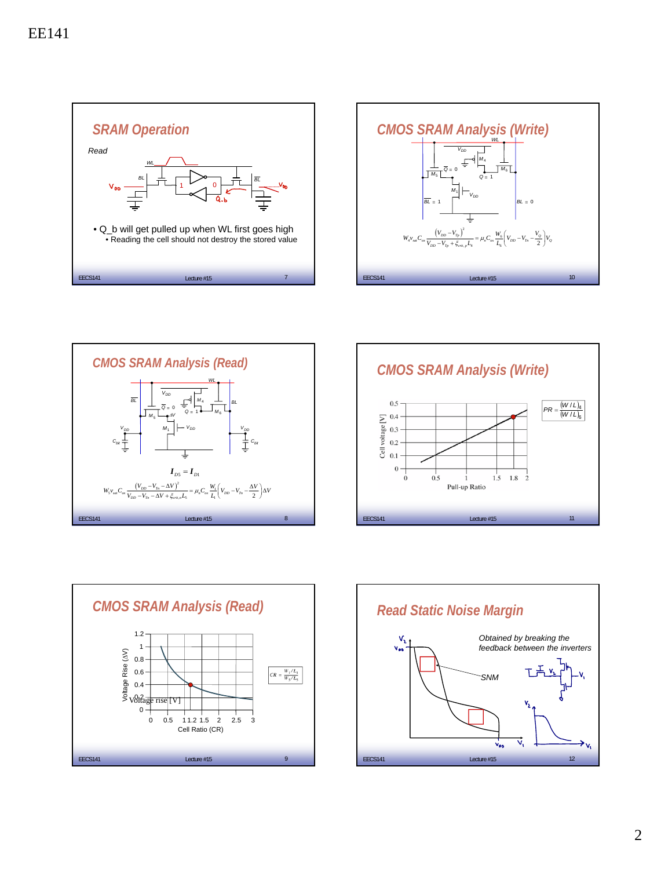